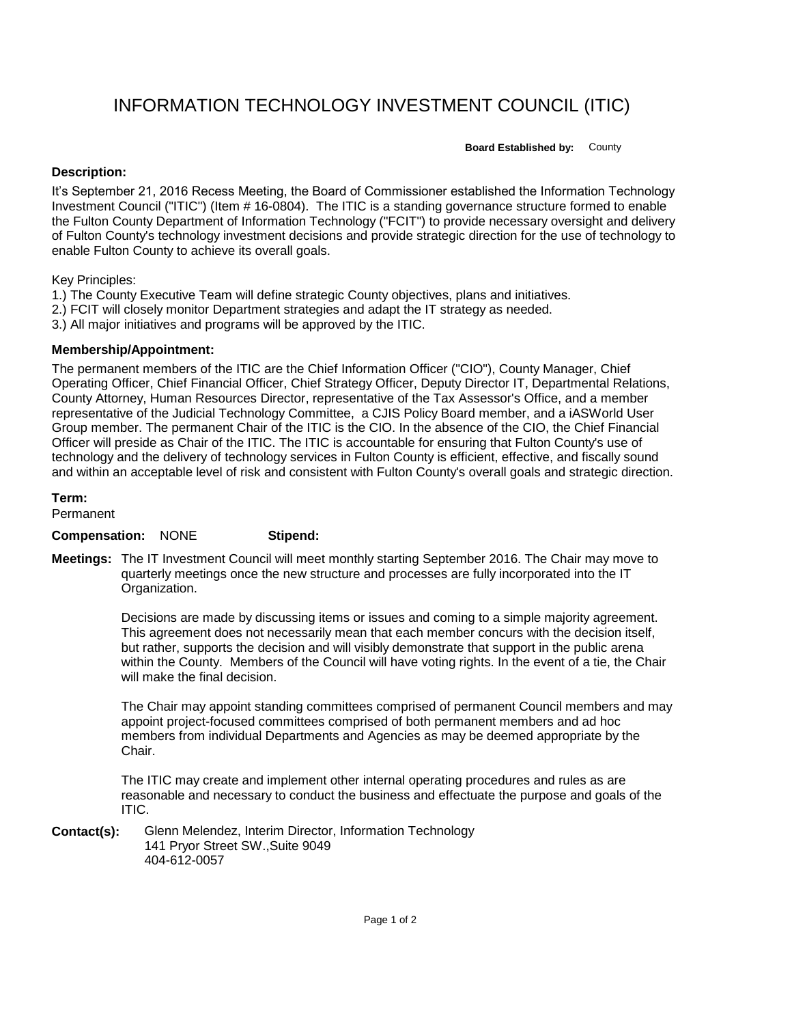# INFORMATION TECHNOLOGY INVESTMENT COUNCIL (ITIC)

**Board Established by:** County

## **Description:**

It's September 21, 2016 Recess Meeting, the Board of Commissioner established the Information Technology Investment Council ("ITIC") (Item # 16-0804). The ITIC is a standing governance structure formed to enable the Fulton County Department of Information Technology ("FCIT") to provide necessary oversight and delivery of Fulton County's technology investment decisions and provide strategic direction for the use of technology to enable Fulton County to achieve its overall goals.

# Key Principles:

- 1.) The County Executive Team will define strategic County objectives, plans and initiatives.
- 2.) FCIT will closely monitor Department strategies and adapt the IT strategy as needed.
- 3.) All major initiatives and programs will be approved by the ITIC.

### **Membership/Appointment:**

The permanent members of the ITIC are the Chief Information Officer ("CIO"), County Manager, Chief Operating Officer, Chief Financial Officer, Chief Strategy Officer, Deputy Director IT, Departmental Relations, County Attorney, Human Resources Director, representative of the Tax Assessor's Office, and a member representative of the Judicial Technology Committee, a CJIS Policy Board member, and a iASWorld User Group member. The permanent Chair of the ITIC is the CIO. In the absence of the CIO, the Chief Financial Officer will preside as Chair of the ITIC. The ITIC is accountable for ensuring that Fulton County's use of technology and the delivery of technology services in Fulton County is efficient, effective, and fiscally sound and within an acceptable level of risk and consistent with Fulton County's overall goals and strategic direction.

#### **Term:**

Permanent

#### **Compensation:** NONE **Stipend:**

**Meetings:** The IT Investment Council will meet monthly starting September 2016. The Chair may move to quarterly meetings once the new structure and processes are fully incorporated into the IT Organization.

> Decisions are made by discussing items or issues and coming to a simple majority agreement. This agreement does not necessarily mean that each member concurs with the decision itself, but rather, supports the decision and will visibly demonstrate that support in the public arena within the County. Members of the Council will have voting rights. In the event of a tie, the Chair will make the final decision.

The Chair may appoint standing committees comprised of permanent Council members and may appoint project-focused committees comprised of both permanent members and ad hoc members from individual Departments and Agencies as may be deemed appropriate by the Chair.

The ITIC may create and implement other internal operating procedures and rules as are reasonable and necessary to conduct the business and effectuate the purpose and goals of the ITIC.

**Contact(s):** Glenn Melendez, Interim Director, Information Technology 141 Pryor Street SW.,Suite 9049 404-612-0057